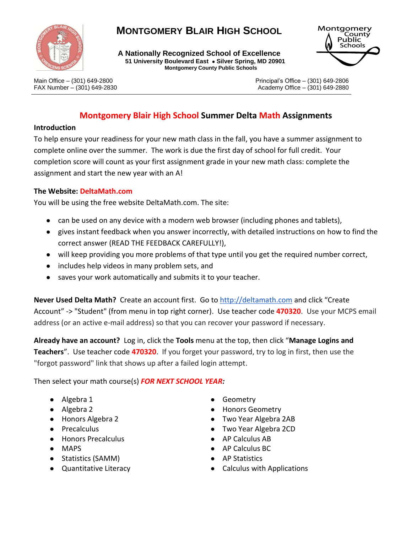

# **MONTGOMERY BLAIR HIGH SCHOOL**

**A Nationally Recognized School of Excellence 51 University Boulevard East . Silver Spring, MD 20901 Montgomery County Public Schools**



Main Office – (301) 649-2800 Principal's Office – (301) 649-2806 FAX Number – (301) 649-2830 **Academy Office – (301) 649-2880** Academy Office – (301) 649-2880

## **Montgomery Blair High School Summer Delta Math Assignments**

#### **Introduction**

To help ensure your readiness for your new math class in the fall, you have a summer assignment to complete online over the summer. The work is due the first day of school for full credit. Your completion score will count as your first assignment grade in your new math class: complete the assignment and start the new year with an A!

#### **The Website: DeltaMath.com**

You will be using the free website DeltaMath.com. The site:

- can be used on any device with a modern web browser (including phones and tablets),
- gives instant feedback when you answer incorrectly, with detailed instructions on how to find the correct answer (READ THE FEEDBACK CAREFULLY!),
- will keep providing you more problems of that type until you get the required number correct,
- includes help videos in many problem sets, and
- saves your work automatically and submits it to your teacher.

**Never Used Delta Math?** Create an account first. Go to [http://deltamath.com](http://deltamath.com/) and click "Create Account" -> "Student" (from menu in top right corner). Use teacher code **470320**. Use your MCPS email address (or an active e-mail address) so that you can recover your password if necessary.

**Already have an account?** Log in, click the **Tools** menu at the top, then click "**Manage Logins and Teachers**". Use teacher code **470320**. If you forget your password, try to log in first, then use the "forgot password" link that shows up after a failed login attempt.

Then select your math course(s) *FOR NEXT SCHOOL YEAR:*

- Algebra 1
- Algebra 2
- Honors Algebra 2
- Precalculus
- Honors Precalculus
- MAPS
- Statistics (SAMM)
- Quantitative Literacy
- **Geometry**
- Honors Geometry
- Two Year Algebra 2AB
- Two Year Algebra 2CD
- AP Calculus AB
- AP Calculus BC
- AP Statistics
- Calculus with Applications